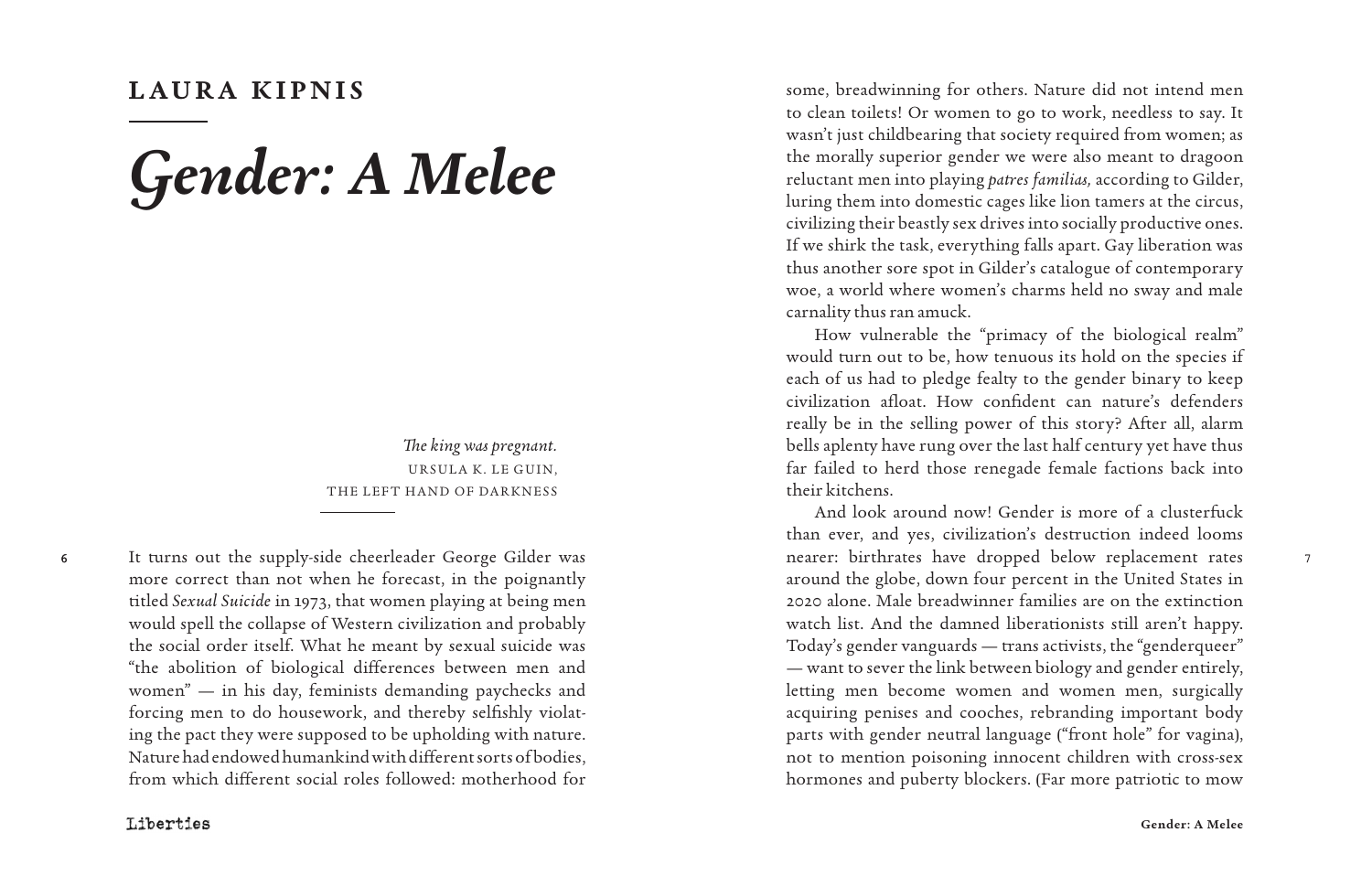## **LAURA KIPNIS**

## *Gender: A Melee*

*The king was pregnant.* URSULA K. LE GUIN, THE LEFT HAND OF DARKNESS

6

It turns out the supply-side cheerleader George Gilder was more correct than not when he forecast, in the poignantly titled *Sexual Suicide* in 1973, that women playing at being men would spell the collapse of Western civilization and probably the social order itself. What he meant by sexual suicide was "the abolition of biological differences between men and women" — in his day, feminists demanding paychecks and forcing men to do housework, and thereby selfishly violat ing the pact they were supposed to be upholding with nature. Nature had endowed humankind with different sorts of bodies, from which different social roles followed: motherhood for

some, breadwinning for others. Nature did not intend men to clean toilets! Or women to go to work, needless to say. It wasn't just childbearing that society required from women; as the morally superior gender we were also meant to dragoon reluctant men into playing *patres familias,* according to Gilder, luring them into domestic cages like lion tamers at the circus, civilizing their beastly sex drives into socially productive ones. If we shirk the task, everything falls apart. Gay liberation was thus another sore spot in Gilder's catalogue of contemporary woe, a world where women's charms held no sway and male carnality thus ran amuck.

How vulnerable the "primacy of the biological realm" would turn out to be, how tenuous its hold on the species if each of us had to pledge fealty to the gender binary to keep civilization afloat. How confident can nature's defenders really be in the selling power of this story? After all, alarm bells aplenty have rung over the last half century yet have thus far failed to herd those renegade female factions back into their kitchens.

And look around now! Gender is more of a clusterfuck than ever, and yes, civilization's destruction indeed looms nearer: birthrates have dropped below replacement rates around the globe, down four percent in the United States in 2020 alone. Male breadwinner families are on the extinction watch list. And the damned liberationists still aren't happy. Today's gender vanguards — trans activists, the "genderqueer" — want to sever the link between biology and gender entirely, letting men become women and women men, surgically acquiring penises and cooches, rebranding important body parts with gender neutral language ("front hole" for vagina), not to mention poisoning innocent children with cross-sex hormones and puberty blockers. (Far more patriotic to mow

7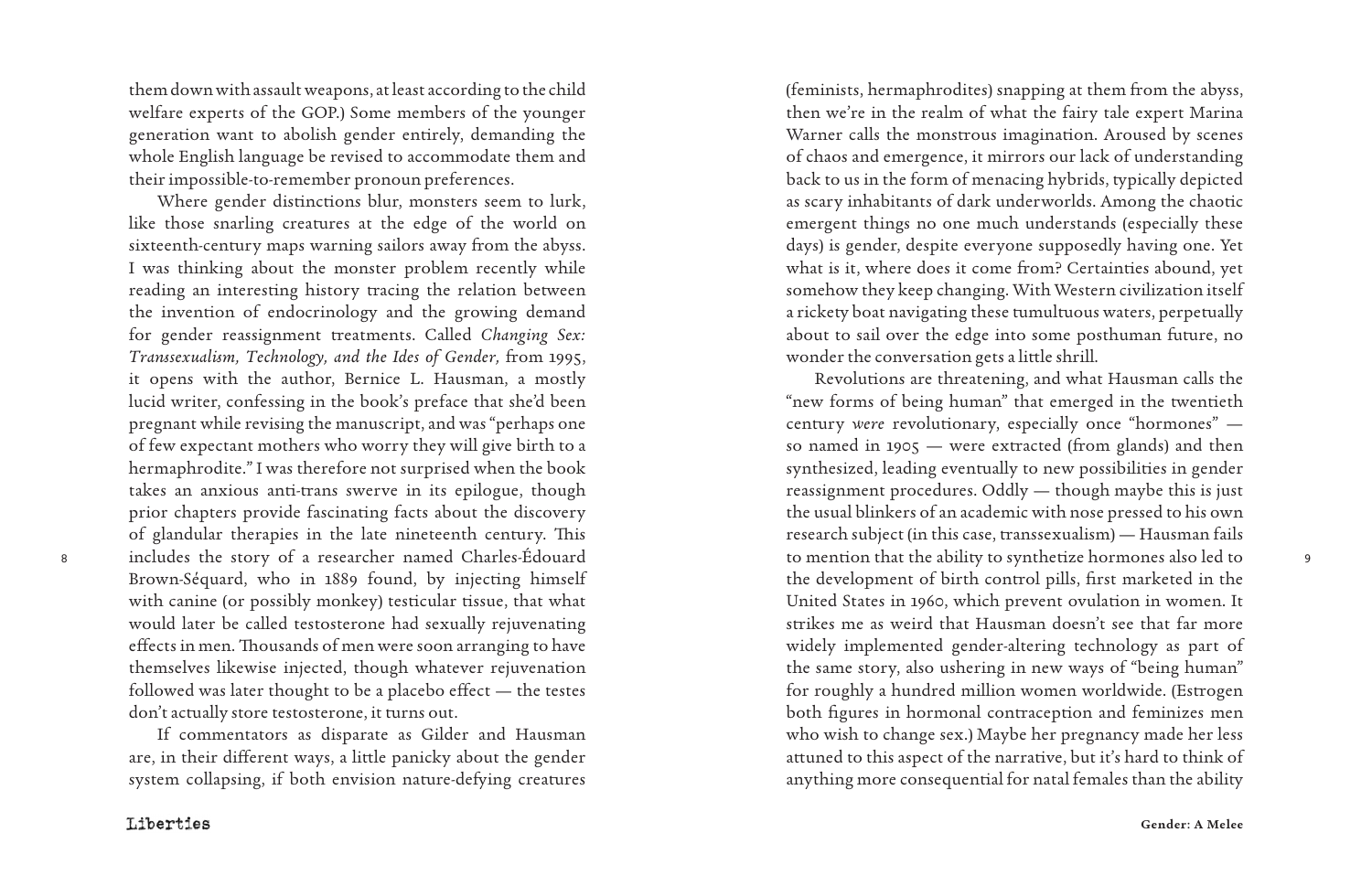them down with assault weapons, at least according to the child welfare experts of the GOP.) Some members of the younger generation want to abolish gender entirely, demanding the whole English language be revised to accommodate them and their impossible-to-remember pronoun preferences.

Where gender distinctions blur, monsters seem to lurk, like those snarling creatures at the edge of the world on sixteenth-century maps warning sailors away from the abyss. I was thinking about the monster problem recently while reading an interesting history tracing the relation between the invention of endocrinology and the growing demand for gender reassignment treatments. Called *Changing Sex: Transsexualism, Technology, and the Ides of Gender,* from 1995, it opens with the author, Bernice L. Hausman, a mostly lucid writer, confessing in the book's preface that she'd been pregnant while revising the manuscript, and was "perhaps one of few expectant mothers who worry they will give birth to a hermaphrodite." I was therefore not surprised when the book takes an anxious anti-trans swerve in its epilogue, though prior chapters provide fascinating facts about the discovery of glandular therapies in the late nineteenth century. This includes the story of a researcher named Charles-Édouard Brown-Séquard, who in 1889 found, by injecting himself with canine (or possibly monkey) testicular tissue, that what would later be called testosterone had sexually rejuvenating effects in men. Thousands of men were soon arranging to have themselves likewise injected, though whatever rejuvenation followed was later thought to be a placebo effect — the testes don't actually store testosterone, it turns out.

If commentators as disparate as Gilder and Hausman are, in their different ways, a little panicky about the gender system collapsing, if both envision nature-defying creatures

Liberties

8

(feminists, hermaphrodites) snapping at them from the abyss, then we're in the realm of what the fairy tale expert Marina Warner calls the monstrous imagination. Aroused by scenes of chaos and emergence, it mirrors our lack of understanding back to us in the form of menacing hybrids, typically depicted as scary inhabitants of dark underworlds. Among the chaotic emergent things no one much understands (especially these days) is gender, despite everyone supposedly having one. Yet what is it, where does it come from? Certainties abound, yet somehow they keep changing. With Western civilization itself a rickety boat navigating these tumultuous waters, perpetually about to sail over the edge into some posthuman future, no wonder the conversation gets a little shrill.

Revolutions are threatening, and what Hausman calls the "new forms of being human" that emerged in the twentieth century *were* revolutionary, especially once "hormones" so named in 1905 — were extracted (from glands) and then synthesized, leading eventually to new possibilities in gender reassignment procedures. Oddly — though maybe this is just the usual blinkers of an academic with nose pressed to his own research subject (in this case, transsexualism) — Hausman fails to mention that the ability to synthetize hormones also led to the development of birth control pills, first marketed in the United States in 1960, which prevent ovulation in women. It strikes me as weird that Hausman doesn't see that far more widely implemented gender-altering technology as part of the same story, also ushering in new ways of "being human" for roughly a hundred million women worldwide. (Estrogen both figures in hormonal contraception and feminizes men who wish to change sex.) Maybe her pregnancy made her less attuned to this aspect of the narrative, but it's hard to think of anything more consequential for natal females than the ability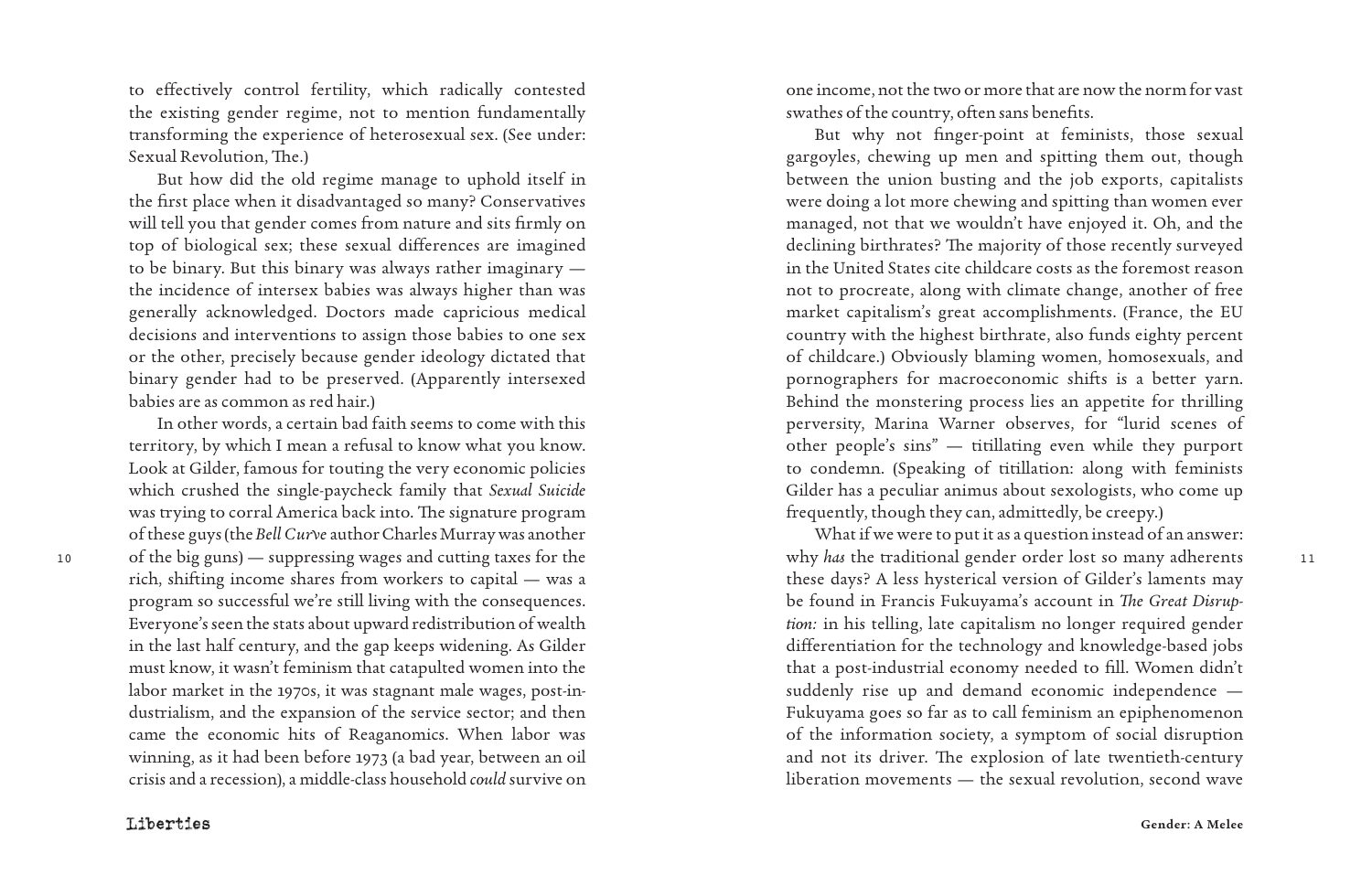to effectively control fertility, which radically contested the existing gender regime, not to mention fundamentally transforming the experience of heterosexual sex. (See under: Sexual Revolution, The.)

But how did the old regime manage to uphold itself in the first place when it disadvantaged so many? Conservatives will tell you that gender comes from nature and sits firmly on top of biological sex; these sexual differences are imagined to be binary. But this binary was always rather imaginary the incidence of intersex babies was always higher than was generally acknowledged. Doctors made capricious medical decisions and interventions to assign those babies to one sex or the other, precisely because gender ideology dictated that binary gender had to be preserved. (Apparently intersexed babies are as common as red hair.)

10 of the big guns) — suppressing wages and cutting taxes for the the the state why has the traditional gender order lost so many adherents to 11 In other words, a certain bad faith seems to come with this territory, by which I mean a refusal to know what you know. Look at Gilder, famous for touting the very economic policies which crushed the single-paycheck family that *Sexual Suicide* was trying to corral America back into. The signature program of these guys (the *Bell Curve* author Charles Murray was another rich, shifting income shares from workers to capital — was a program so successful we're still living with the consequences. Everyone's seen the stats about upward redistribution of wealth in the last half century, and the gap keeps widening. As Gilder must know, it wasn't feminism that catapulted women into the labor market in the 1970s, it was stagnant male wages, post-in dustrialism, and the expansion of the service sector; and then came the economic hits of Reaganomics. When labor was winning, as it had been before 1973 (a bad year, between an oil crisis and a recession), a middle-class household *could* survive on

one income, not the two or more that are now the norm for vast swathes of the country, often sans benefits.

But why not finger-point at feminists, those sexual gargoyles, chewing up men and spitting them out, though between the union busting and the job exports, capitalists were doing a lot more chewing and spitting than women ever managed, not that we wouldn't have enjoyed it. Oh, and the declining birthrates? The majority of those recently surveyed in the United States cite childcare costs as the foremost reason not to procreate, along with climate change, another of free market capitalism's great accomplishments. (France, the EU country with the highest birthrate, also funds eighty percent of childcare.) Obviously blaming women, homosexuals, and pornographers for macroeconomic shifts is a better yarn. Behind the monstering process lies an appetite for thrilling perversity, Marina Warner observes, for "lurid scenes of other people's sins" — titillating even while they purport to condemn. (Speaking of titillation: along with feminists Gilder has a peculiar animus about sexologists, who come up frequently, though they can, admittedly, be creepy.)

What if we were to put it as a question instead of an answer: why *has* the traditional gender order lost so many adherents these days? A less hysterical version of Gilder's laments may be found in Francis Fukuyama's account in *The Great Disrup tion:* in his telling, late capitalism no longer required gender differentiation for the technology and knowledge-based jobs that a post-industrial economy needed to fill. Women didn't suddenly rise up and demand economic independence — Fukuyama goes so far as to call feminism an epiphenomenon of the information society, a symptom of social disruption and not its driver. The explosion of late twentieth-century liberation movements — the sexual revolution, second wave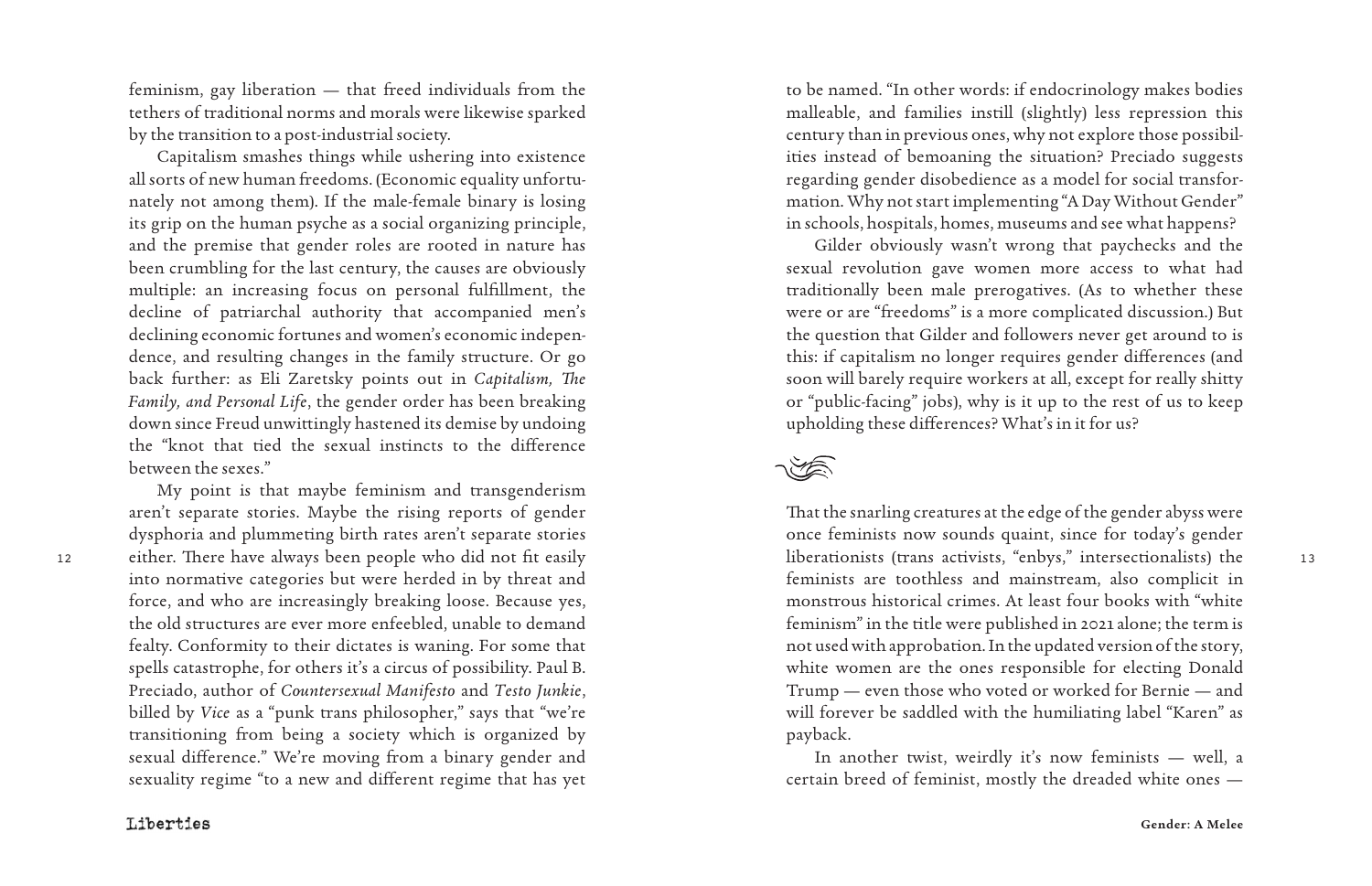feminism, gay liberation — that freed individuals from the tethers of traditional norms and morals were likewise sparked by the transition to a post-industrial society.

Capitalism smashes things while ushering into existence all sorts of new human freedoms. (Economic equality unfortunately not among them). If the male-female binary is losing its grip on the human psyche as a social organizing principle, and the premise that gender roles are rooted in nature has been crumbling for the last century, the causes are obviously multiple: an increasing focus on personal fulfillment, the decline of patriarchal authority that accompanied men's declining economic fortunes and women's economic independence, and resulting changes in the family structure. Or go back further: as Eli Zaretsky points out in *Capitalism, The Family, and Personal Life*, the gender order has been breaking down since Freud unwittingly hastened its demise by undoing the "knot that tied the sexual instincts to the difference between the sexes."

My point is that maybe feminism and transgenderism

sexuality regime "to a new and different regime that has yet

aren't separate stories. Maybe the rising reports of gender dysphoria and plummeting birth rates aren't separate stories into normative categories but were herded in by threat and force, and who are increasingly breaking loose. Because yes, the old structures are ever more enfeebled, unable to demand fealty. Conformity to their dictates is waning. For some that spells catastrophe, for others it's a circus of possibility. Paul B. Preciado, author of *Countersexual Manifesto* and *Testo Junkie*, billed by *Vice* as a "punk trans philosopher," says that "we're transitioning from being a society which is organized by sexual difference." We're moving from a binary gender and

to be named. "In other words: if endocrinology makes bodies malleable, and families instill (slightly) less repression this century than in previous ones, why not explore those possibilities instead of bemoaning the situation? Preciado suggests regarding gender disobedience as a model for social transformation. Why not start implementing "A Day Without Gender" in schools, hospitals, homes, museums and see what happens?

Gilder obviously wasn't wrong that paychecks and the sexual revolution gave women more access to what had traditionally been male prerogatives. (As to whether these were or are "freedoms" is a more complicated discussion.) But the question that Gilder and followers never get around to is this: if capitalism no longer requires gender differences (and soon will barely require workers at all, except for really shitty or "public-facing" jobs), why is it up to the rest of us to keep upholding these differences? What's in it for us?

12 either. There have always been people who did not fit easily liberationists (trans activists, "enbys," intersectionalists) the 13 That the snarling creatures at the edge of the gender abyss were once feminists now sounds quaint, since for today's gender liberationists (trans activists, "enbys," intersectionalists) the feminists are toothless and mainstream, also complicit in monstrous historical crimes. At least four books with "white feminism" in the title were published in 2021 alone; the term is not used with approbation. In the updated version of the story, white women are the ones responsible for electing Donald Trump — even those who voted or worked for Bernie — and will forever be saddled with the humiliating label "Karen" as payback.

> In another twist, weirdly it's now feminists — well, a certain breed of feminist, mostly the dreaded white ones —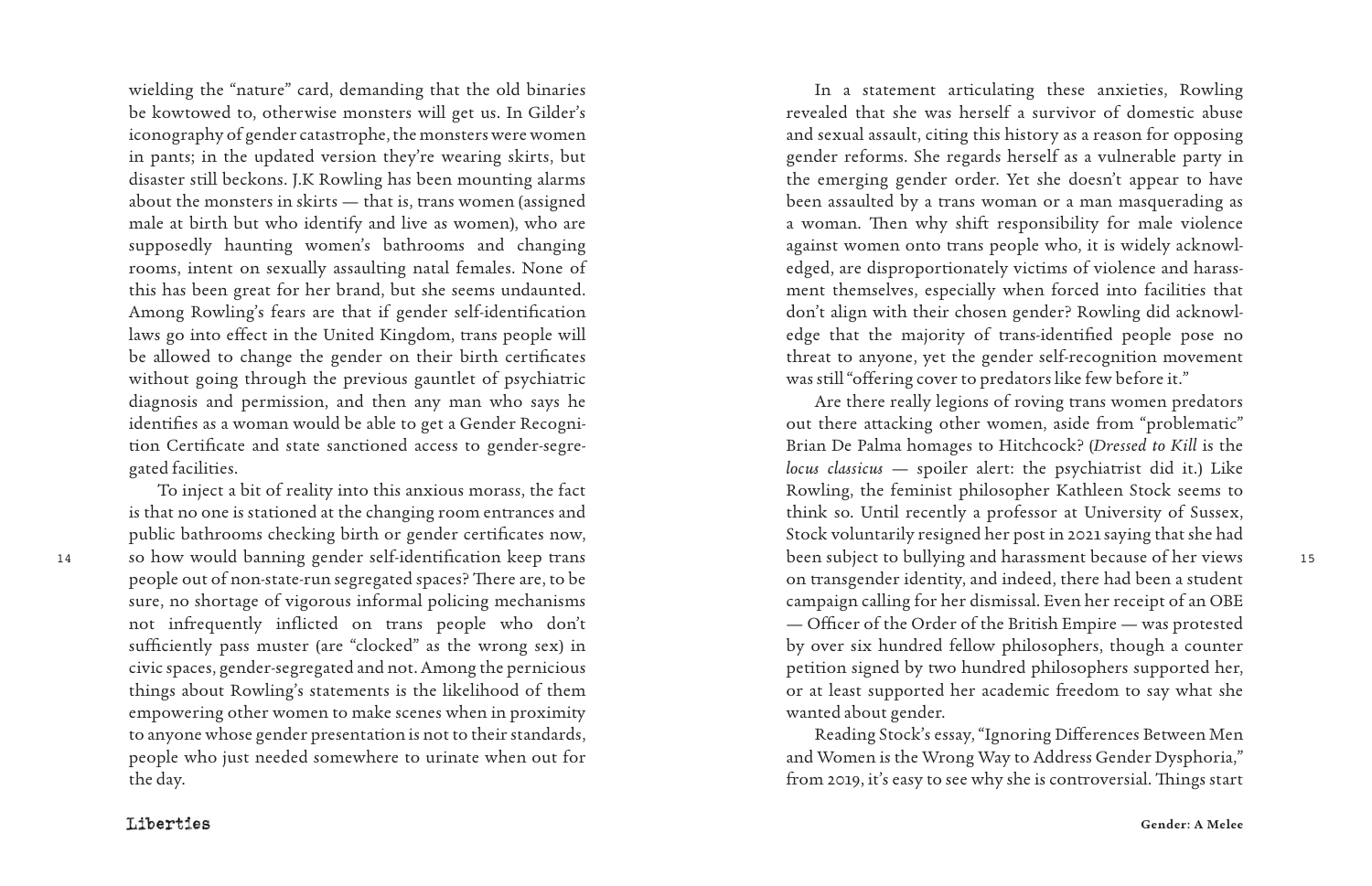wielding the "nature" card, demanding that the old binaries be kowtowed to, otherwise monsters will get us. In Gilder's iconography of gender catastrophe, the monsters were women in pants; in the updated version they're wearing skirts, but disaster still beckons. J.K Rowling has been mounting alarms about the monsters in skirts — that is, trans women (assigned male at birth but who identify and live as women), who are supposedly haunting women's bathrooms and changing rooms, intent on sexually assaulting natal females. None of this has been great for her brand, but she seems undaunted. Among Rowling's fears are that if gender self-identification laws go into effect in the United Kingdom, trans people will be allowed to change the gender on their birth certificates without going through the previous gauntlet of psychiatric diagnosis and permission, and then any man who says he identifies as a woman would be able to get a Gender Recogni tion Certificate and state sanctioned access to gender-segre gated facilities.

To inject a bit of reality into this anxious morass, the fact is that no one is stationed at the changing room entrances and public bathrooms checking birth or gender certificates now, people out of non-state-run segregated spaces? There are, to be sure, no shortage of vigorous informal policing mechanisms not infrequently inflicted on trans people who don't sufficiently pass muster (are "clocked" as the wrong sex) in civic spaces, gender-segregated and not. Among the pernicious things about Rowling's statements is the likelihood of them empowering other women to make scenes when in proximity to anyone whose gender presentation is not to their standards, people who just needed somewhere to urinate when out for the day.

In a statement articulating these anxieties, Rowling revealed that she was herself a survivor of domestic abuse and sexual assault, citing this history as a reason for opposing gender reforms. She regards herself as a vulnerable party in the emerging gender order. Yet she doesn't appear to have been assaulted by a trans woman or a man masquerading as a woman. Then why shift responsibility for male violence against women onto trans people who, it is widely acknowl edged, are disproportionately victims of violence and harass ment themselves, especially when forced into facilities that don't align with their chosen gender? Rowling did acknowl edge that the majority of trans-identified people pose no threat to anyone, yet the gender self-recognition movement was still "offering cover to predators like few before it."

14 15 so how would banning gender self-identification keep trans Are there really legions of roving trans women predators out there attacking other women, aside from "problematic" Brian De Palma homages to Hitchcock? (*Dressed to Kill* is the *locus classicus* — spoiler alert: the psychiatrist did it.) Like Rowling, the feminist philosopher Kathleen Stock seems to think so. Until recently a professor at University of Sussex, Stock voluntarily resigned her post in 2021 saying that she had been subject to bullying and harassment because of her views on transgender identity, and indeed, there had been a student campaign calling for her dismissal. Even her receipt of an OBE — Officer of the Order of the British Empire — was protested by over six hundred fellow philosophers, though a counter petition signed by two hundred philosophers supported her, or at least supported her academic freedom to say what she wanted about gender.

> Reading Stock's essay, "Ignoring Differences Between Men and Women is the Wrong Way to Address Gender Dysphoria," from 2019, it's easy to see why she is controversial. Things start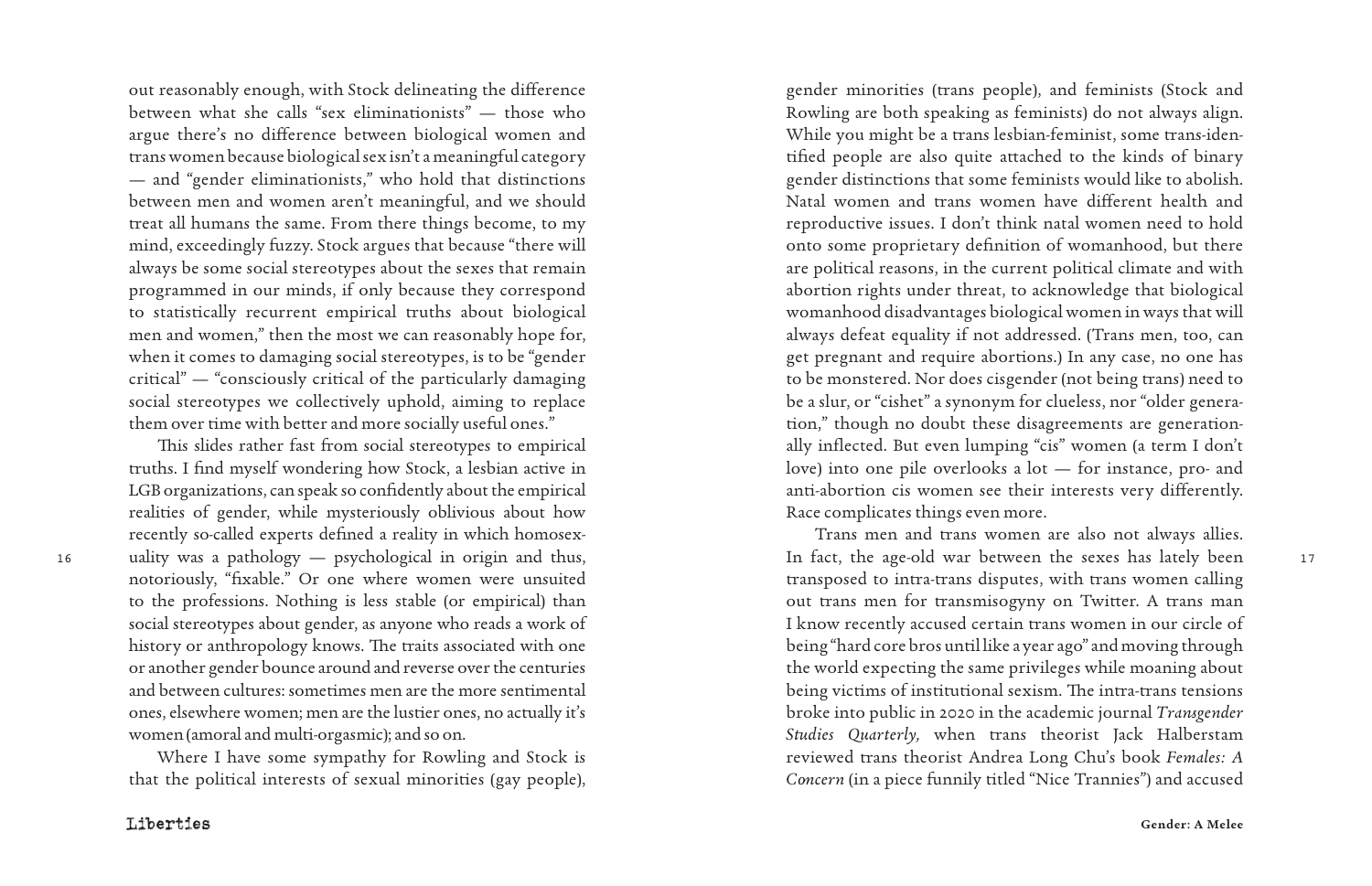out reasonably enough, with Stock delineating the difference between what she calls "sex eliminationists" — those who argue there's no difference between biological women and trans women because biological sex isn't a meaningful category — and "gender eliminationists," who hold that distinctions between men and women aren't meaningful, and we should treat all humans the same. From there things become, to my mind, exceedingly fuzzy. Stock argues that because "there will always be some social stereotypes about the sexes that remain programmed in our minds, if only because they correspond to statistically recurrent empirical truths about biological men and women," then the most we can reasonably hope for, when it comes to damaging social stereotypes, is to be "gender critical" — "consciously critical of the particularly damaging social stereotypes we collectively uphold, aiming to replace them over time with better and more socially useful ones."

This slides rather fast from social stereotypes to empirical truths. I find myself wondering how Stock, a lesbian active in LGB organizations, can speak so confidently about the empirical realities of gender, while mysteriously oblivious about how recently so-called experts defined a reality in which homosex uality was a pathology — psychological in origin and thus, notoriously, "fixable." Or one where women were unsuited to the professions. Nothing is less stable (or empirical) than social stereotypes about gender, as anyone who reads a work of history or anthropology knows. The traits associated with one or another gender bounce around and reverse over the centuries and between cultures: sometimes men are the more sentimental ones, elsewhere women; men are the lustier ones, no actually it's women (amoral and multi-orgasmic); and so on.

Where I have some sympathy for Rowling and Stock is that the political interests of sexual minorities (gay people),

gender minorities (trans people), and feminists (Stock and Rowling are both speaking as feminists) do not always align. While you might be a trans lesbian-feminist, some trans-iden tified people are also quite attached to the kinds of binary gender distinctions that some feminists would like to abolish. Natal women and trans women have different health and reproductive issues. I don't think natal women need to hold onto some proprietary definition of womanhood, but there are political reasons, in the current political climate and with abortion rights under threat, to acknowledge that biological womanhood disadvantages biological women in ways that will always defeat equality if not addressed. (Trans men, too, can get pregnant and require abortions.) In any case, no one has to be monstered. Nor does cisgender (not being trans) need to be a slur, or "cishet" a synonym for clueless, nor "older genera tion," though no doubt these disagreements are generation ally inflected. But even lumping "cis" women (a term I don't love) into one pile overlooks a lot — for instance, pro- and anti-abortion cis women see their interests very differently. Race complicates things even more.

16 uality was a pathology — psychological in origin and thus, In fact, the age-old war between the sexes has lately been 17 Trans men and trans women are also not always allies. transposed to intra-trans disputes, with trans women calling out trans men for transmisogyny on Twitter. A trans man I know recently accused certain trans women in our circle of being "hard core bros until like a year ago" and moving through the world expecting the same privileges while moaning about being victims of institutional sexism. The intra-trans tensions broke into public in 2020 in the academic journal *Transgender Studies Quarterly,* when trans theorist Jack Halberstam reviewed trans theorist Andrea Long Chu's book *Females: A Concern* (in a piece funnily titled "Nice Trannies") and accused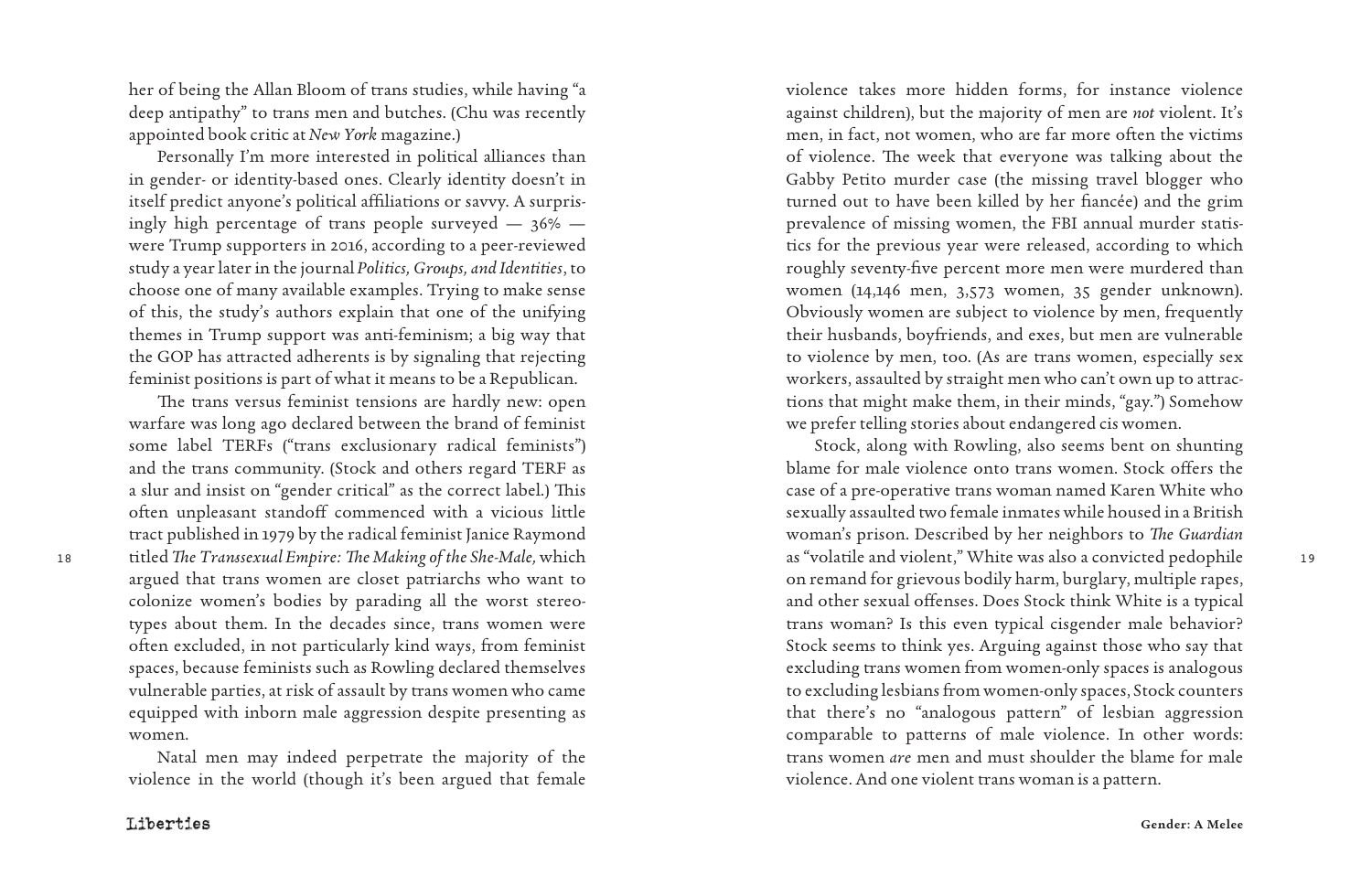her of being the Allan Bloom of trans studies, while having "a deep antipathy" to trans men and butches. (Chu was recently appointed book critic at *New York* magazine.)

Personally I'm more interested in political alliances than in gender- or identity-based ones. Clearly identity doesn't in itself predict anyone's political affiliations or savvy. A surpris ingly high percentage of trans people surveyed — 36% were Trump supporters in 2016, according to a peer-reviewed study a year later in the journal *Politics, Groups, and Identities*, to choose one of many available examples. Trying to make sense of this, the study's authors explain that one of the unifying themes in Trump support was anti-feminism; a big way that the GOP has attracted adherents is by signaling that rejecting feminist positions is part of what it means to be a Republican.

The trans versus feminist tensions are hardly new: open warfare was long ago declared between the brand of feminist some label TERFs ("trans exclusionary radical feminists") and the trans community. (Stock and others regard TERF as a slur and insist on "gender critical" as the correct label.) This often unpleasant standoff commenced with a vicious little tract published in 1979 by the radical feminist Janice Raymond argued that trans women are closet patriarchs who want to colonize women's bodies by parading all the worst stereo types about them. In the decades since, trans women were often excluded, in not particularly kind ways, from feminist spaces, because feminists such as Rowling declared themselves vulnerable parties, at risk of assault by trans women who came equipped with inborn male aggression despite presenting as women.

Natal men may indeed perpetrate the majority of the violence in the world (though it's been argued that female

violence takes more hidden forms, for instance violence against children), but the majority of men are *not* violent. It's men, in fact, not women, who are far more often the victims of violence. The week that everyone was talking about the Gabby Petito murder case (the missing travel blogger who turned out to have been killed by her fiancée) and the grim prevalence of missing women, the FBI annual murder statis tics for the previous year were released, according to which roughly seventy-five percent more men were murdered than women (14,146 men, 3,573 women, 35 gender unknown). Obviously women are subject to violence by men, frequently their husbands, boyfriends, and exes, but men are vulnerable to violence by men, too. (As are trans women, especially sex workers, assaulted by straight men who can't own up to attrac tions that might make them, in their minds, "gay.") Somehow we prefer telling stories about endangered cis women.

18 19 titled *The Transsexual Empire: The Making of the She-Male,* which Stock, along with Rowling, also seems bent on shunting blame for male violence onto trans women. Stock offers the case of a pre-operative trans woman named Karen White who sexually assaulted two female inmates while housed in a British woman's prison. Described by her neighbors to *The Guardian* as "volatile and violent," White was also a convicted pedophile on remand for grievous bodily harm, burglary, multiple rapes, and other sexual offenses. Does Stock think White is a typical trans woman? Is this even typical cisgender male behavior? Stock seems to think yes. Arguing against those who say that excluding trans women from women-only spaces is analogous to excluding lesbians from women-only spaces, Stock counters that there's no "analogous pattern" of lesbian aggression comparable to patterns of male violence. In other words: trans women *are* men and must shoulder the blame for male violence. And one violent trans woman is a pattern.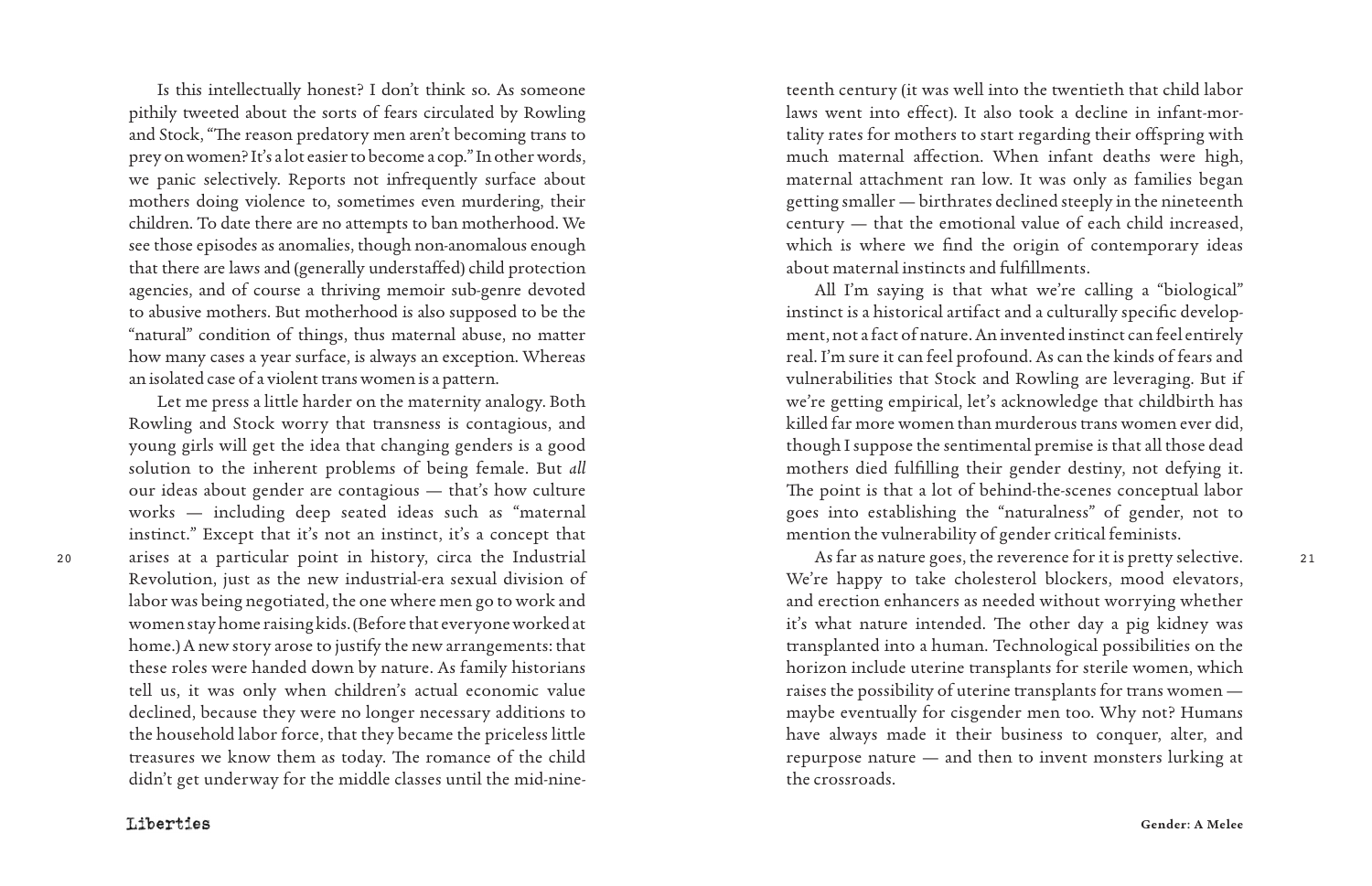Is this intellectually honest? I don't think so. As someone pithily tweeted about the sorts of fears circulated by Rowling and Stock, "The reason predatory men aren't becoming trans to prey on women? It's a lot easier to become a cop." In other words, we panic selectively. Reports not infrequently surface about mothers doing violence to, sometimes even murdering, their children. To date there are no attempts to ban motherhood. We see those episodes as anomalies, though non-anomalous enough that there are laws and (generally understaffed) child protection agencies, and of course a thriving memoir sub-genre devoted to abusive mothers. But motherhood is also supposed to be the "natural" condition of things, thus maternal abuse, no matter how many cases a year surface, is always an exception. Whereas an isolated case of a violent trans women is a pattern.

20 21 arises at a particular point in history, circa the Industrial Let me press a little harder on the maternity analogy. Both Rowling and Stock worry that transness is contagious, and young girls will get the idea that changing genders is a good solution to the inherent problems of being female. But *all* our ideas about gender are contagious — that's how culture works — including deep seated ideas such as "maternal instinct." Except that it's not an instinct, it's a concept that Revolution, just as the new industrial-era sexual division of labor was being negotiated, the one where men go to work and women stay home raising kids. (Before that everyone worked at home.) A new story arose to justify the new arrangements: that these roles were handed down by nature. As family historians tell us, it was only when children's actual economic value declined, because they were no longer necessary additions to the household labor force, that they became the priceless little treasures we know them as today. The romance of the child didn't get underway for the middle classes until the mid-nine -

teenth century (it was well into the twentieth that child labor laws went into effect). It also took a decline in infant-mor tality rates for mothers to start regarding their offspring with much maternal affection. When infant deaths were high, maternal attachment ran low. It was only as families began getting smaller — birthrates declined steeply in the nineteenth century — that the emotional value of each child increased, which is where we find the origin of contemporary ideas about maternal instincts and fulfillments.

All I'm saying is that what we're calling a "biological" instinct is a historical artifact and a culturally specific develop ment, not a fact of nature. An invented instinct can feel entirely real. I'm sure it can feel profound. As can the kinds of fears and vulnerabilities that Stock and Rowling are leveraging. But if we're getting empirical, let's acknowledge that childbirth has killed far more women than murderous trans women ever did, though I suppose the sentimental premise is that all those dead mothers died fulfilling their gender destiny, not defying it. The point is that a lot of behind-the-scenes conceptual labor goes into establishing the "naturalness" of gender, not to mention the vulnerability of gender critical feminists.

As far as nature goes, the reverence for it is pretty selective. We're happy to take cholesterol blockers, mood elevators, and erection enhancers as needed without worrying whether it's what nature intended. The other day a pig kidney was transplanted into a human. Technological possibilities on the horizon include uterine transplants for sterile women, which raises the possibility of uterine transplants for trans women maybe eventually for cisgender men too. Why not? Humans have always made it their business to conquer, alter, and repurpose nature — and then to invent monsters lurking at the crossroads.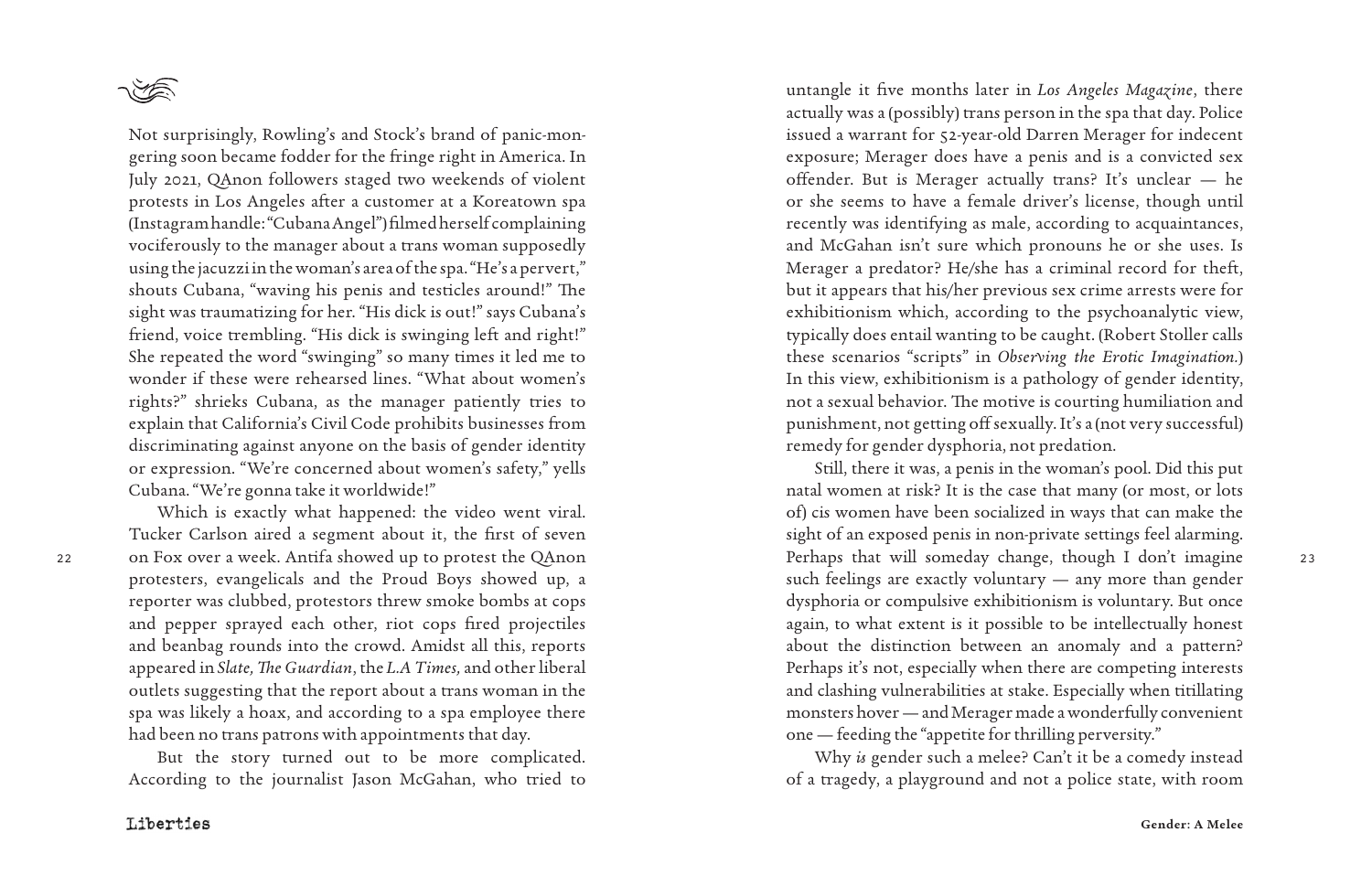

Not surprisingly, Rowling's and Stock's brand of panic-mon gering soon became fodder for the fringe right in America. In July 2021, QAnon followers staged two weekends of violent protests in Los Angeles after a customer at a Koreatown spa (Instagram handle: "Cubana Angel") filmed herself complaining vociferously to the manager about a trans woman supposedly using the jacuzzi in the woman's area of the spa. "He's a pervert," shouts Cubana, "waving his penis and testicles around!" The sight was traumatizing for her. "His dick is out!" says Cubana's friend, voice trembling. "His dick is swinging left and right!" She repeated the word "swinging" so many times it led me to wonder if these were rehearsed lines. "What about women's rights?" shrieks Cubana, as the manager patiently tries to explain that California's Civil Code prohibits businesses from discriminating against anyone on the basis of gender identity or expression. "We're concerned about women's safety," yells Cubana. "We're gonna take it worldwide!"

Which is exactly what happened: the video went viral. Tucker Carlson aired a segment about it, the first of seven protesters, evangelicals and the Proud Boys showed up, a reporter was clubbed, protestors threw smoke bombs at cops and pepper sprayed each other, riot cops fired projectiles and beanbag rounds into the crowd. Amidst all this, reports appeared in *Slate,The Guardian*, the *L.A Times,* and other liberal outlets suggesting that the report about a trans woman in the spa was likely a hoax, and according to a spa employee there had been no trans patrons with appointments that day.

But the story turned out to be more complicated. According to the journalist Jason McGahan, who tried to

untangle it five months later in *Los Angeles Magazine*, there actually was a (possibly) trans person in the spa that day. Police issued a warrant for 52-year-old Darren Merager for indecent exposure; Merager does have a penis and is a convicted sex offender. But is Merager actually trans? It's unclear — he or she seems to have a female driver's license, though until recently was identifying as male, according to acquaintances, and McGahan isn't sure which pronouns he or she uses. Is Merager a predator? He/she has a criminal record for theft, but it appears that his/her previous sex crime arrests were for exhibitionism which, according to the psychoanalytic view, typically does entail wanting to be caught. (Robert Stoller calls these scenarios "scripts" in *Observing the Erotic Imagination.*) In this view, exhibitionism is a pathology of gender identity, not a sexual behavior. The motive is courting humiliation and punishment, not getting off sexually. It's a (not very successful) remedy for gender dysphoria, not predation.

22 23 on Fox over a week. Antifa showed up to protest the QAnon Still, there it was, a penis in the woman's pool. Did this put natal women at risk? It is the case that many (or most, or lots of) cis women have been socialized in ways that can make the sight of an exposed penis in non-private settings feel alarming. Perhaps that will someday change, though I don't imagine such feelings are exactly voluntary — any more than gender dysphoria or compulsive exhibitionism is voluntary. But once again, to what extent is it possible to be intellectually honest about the distinction between an anomaly and a pattern? Perhaps it's not, especially when there are competing interests and clashing vulnerabilities at stake. Especially when titillating monsters hover — and Merager made a wonderfully convenient one — feeding the "appetite for thrilling perversity."

> Why *is* gender such a melee? Can't it be a comedy instead of a tragedy, a playground and not a police state, with room